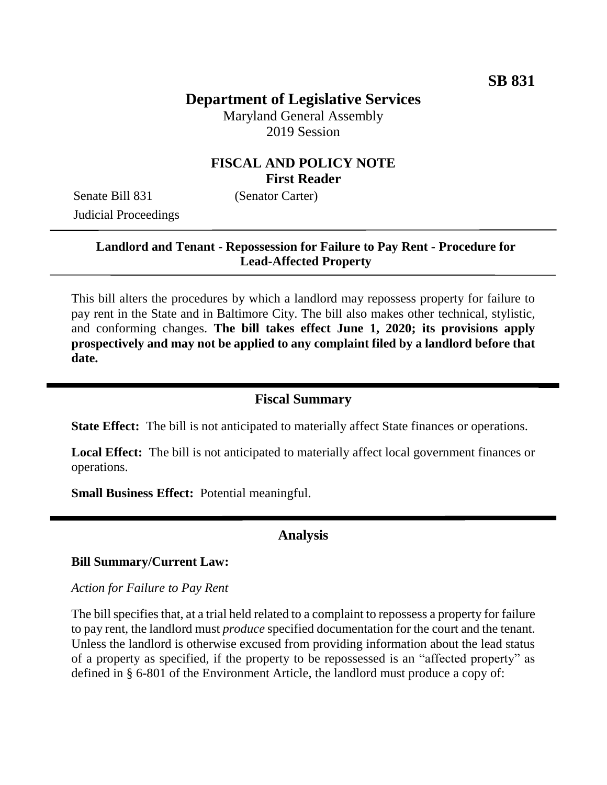# **Department of Legislative Services**

Maryland General Assembly 2019 Session

## **FISCAL AND POLICY NOTE First Reader**

Senate Bill 831 (Senator Carter) Judicial Proceedings

## **Landlord and Tenant - Repossession for Failure to Pay Rent - Procedure for Lead-Affected Property**

This bill alters the procedures by which a landlord may repossess property for failure to pay rent in the State and in Baltimore City. The bill also makes other technical, stylistic, and conforming changes. **The bill takes effect June 1, 2020; its provisions apply prospectively and may not be applied to any complaint filed by a landlord before that date.**

#### **Fiscal Summary**

**State Effect:** The bill is not anticipated to materially affect State finances or operations.

**Local Effect:** The bill is not anticipated to materially affect local government finances or operations.

**Small Business Effect:** Potential meaningful.

#### **Analysis**

#### **Bill Summary/Current Law:**

*Action for Failure to Pay Rent*

The bill specifies that, at a trial held related to a complaint to repossess a property for failure to pay rent, the landlord must *produce* specified documentation for the court and the tenant. Unless the landlord is otherwise excused from providing information about the lead status of a property as specified, if the property to be repossessed is an "affected property" as defined in § 6-801 of the Environment Article, the landlord must produce a copy of: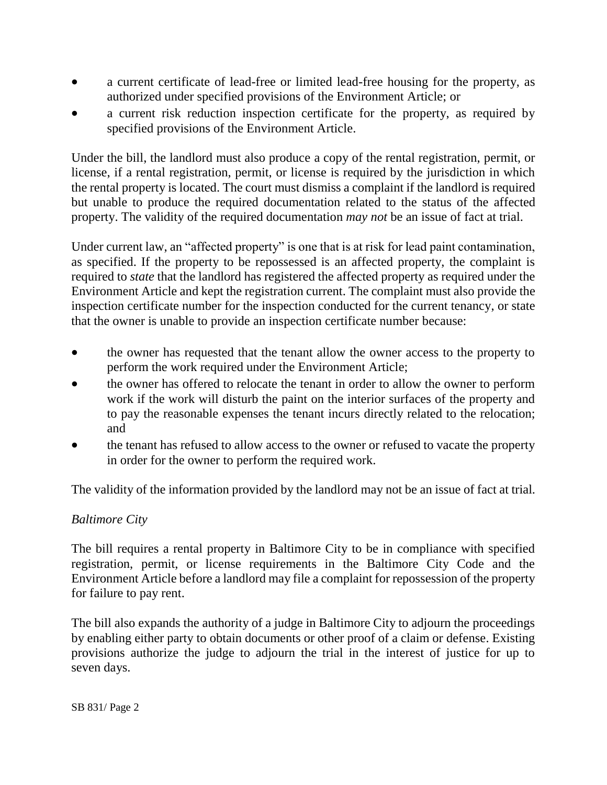- a current certificate of lead-free or limited lead-free housing for the property, as authorized under specified provisions of the Environment Article; or
- a current risk reduction inspection certificate for the property, as required by specified provisions of the Environment Article.

Under the bill, the landlord must also produce a copy of the rental registration, permit, or license, if a rental registration, permit, or license is required by the jurisdiction in which the rental property is located. The court must dismiss a complaint if the landlord is required but unable to produce the required documentation related to the status of the affected property. The validity of the required documentation *may not* be an issue of fact at trial.

Under current law, an "affected property" is one that is at risk for lead paint contamination, as specified. If the property to be repossessed is an affected property, the complaint is required to *state* that the landlord has registered the affected property as required under the Environment Article and kept the registration current. The complaint must also provide the inspection certificate number for the inspection conducted for the current tenancy, or state that the owner is unable to provide an inspection certificate number because:

- the owner has requested that the tenant allow the owner access to the property to perform the work required under the Environment Article;
- the owner has offered to relocate the tenant in order to allow the owner to perform work if the work will disturb the paint on the interior surfaces of the property and to pay the reasonable expenses the tenant incurs directly related to the relocation; and
- the tenant has refused to allow access to the owner or refused to vacate the property in order for the owner to perform the required work.

The validity of the information provided by the landlord may not be an issue of fact at trial.

#### *Baltimore City*

The bill requires a rental property in Baltimore City to be in compliance with specified registration, permit, or license requirements in the Baltimore City Code and the Environment Article before a landlord may file a complaint for repossession of the property for failure to pay rent.

The bill also expands the authority of a judge in Baltimore City to adjourn the proceedings by enabling either party to obtain documents or other proof of a claim or defense. Existing provisions authorize the judge to adjourn the trial in the interest of justice for up to seven days.